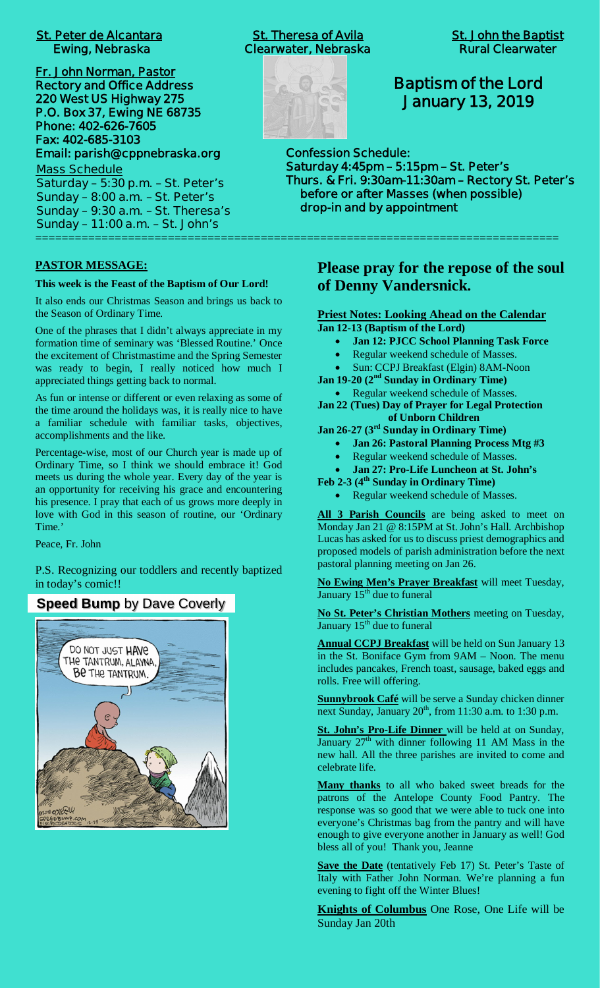# **St. Peter de Alcantara St. Theresa of Avila St. John the Baptist**

**Fr. John Norman, Pastor Rectory and Office Address 220 West US Highway 275 P.O. Box 37, Ewing NE 68735 Phone: 402-626-7605 Fax: 402-685-3103 Email: parish@cppnebraska.org**

**Mass Schedule Saturday – 5:30 p.m. – St. Peter's Sunday – 8:00 a.m. – St. Peter's Sunday – 9:30 a.m. – St. Theresa's Sunday – 11:00 a.m. – St. John's** ===============================================================================

#### **PASTOR MESSAGE:**

#### **This week is the Feast of the Baptism of Our Lord!**

It also ends our Christmas Season and brings us back to the Season of Ordinary Time.

One of the phrases that I didn't always appreciate in my formation time of seminary was 'Blessed Routine.' Once the excitement of Christmastime and the Spring Semester was ready to begin, I really noticed how much I appreciated things getting back to normal.

As fun or intense or different or even relaxing as some of the time around the holidays was, it is really nice to have a familiar schedule with familiar tasks, objectives, accomplishments and the like.

Percentage-wise, most of our Church year is made up of Ordinary Time, so I think we should embrace it! God meets us during the whole year. Every day of the year is an opportunity for receiving his grace and encountering his presence. I pray that each of us grows more deeply in love with God in this season of routine, our 'Ordinary Time.'

Peace, Fr. John

P.S. Recognizing our toddlers and recently baptized in today's comic!!

## **Speed Bump** by Dave Coverly



 **Ewing, Nebraska Clearwater, Nebraska Rural Clearwater**



## **Baptism of the Lord January 13, 2019**

**Confession Schedule: Saturday 4:45pm – 5:15pm – St. Peter's Thurs. & Fri. 9:30am-11:30am – Rectory St. Peter's before or after Masses (when possible) drop-in and by appointment**

> **Please pray for the repose of the soul of Denny Vandersnick.**

#### **Priest Notes: Looking Ahead on the Calendar Jan 12-13 (Baptism of the Lord)**

- · **Jan 12: PJCC School Planning Task Force**
- · Regular weekend schedule of Masses.
- · Sun: CCPJ Breakfast (Elgin) 8AM-Noon
- **Jan 19-20 (2nd Sunday in Ordinary Time)**

· Regular weekend schedule of Masses. **Jan 22 (Tues) Day of Prayer for Legal Protection**

- **of Unborn Children**
- **Jan 26-27 (3rd Sunday in Ordinary Time)**
	- · **Jan 26: Pastoral Planning Process Mtg #3**
	- Regular weekend schedule of Masses.

· **Jan 27: Pro-Life Luncheon at St. John's**

- **Feb 2-3 (4th Sunday in Ordinary Time)**
	- Regular weekend schedule of Masses.

**All 3 Parish Councils** are being asked to meet on Monday Jan 21 @ 8:15PM at St. John's Hall. Archbishop Lucas has asked for us to discuss priest demographics and proposed models of parish administration before the next pastoral planning meeting on Jan 26.

**No Ewing Men's Prayer Breakfast** will meet Tuesday, January  $15<sup>th</sup>$  due to funeral

**No St. Peter's Christian Mothers** meeting on Tuesday, January  $15<sup>th</sup>$  due to funeral

**Annual CCPJ Breakfast** will be held on Sun January 13 in the St. Boniface Gym from 9AM – Noon. The menu includes pancakes, French toast, sausage, baked eggs and rolls. Free will offering.

**Sunnybrook Café** will be serve a Sunday chicken dinner next Sunday, January  $20<sup>th</sup>$ , from 11:30 a.m. to 1:30 p.m.

**St. John's Pro-Life Dinner** will be held at on Sunday, January  $27<sup>th</sup>$  with dinner following 11 AM Mass in the new hall. All the three parishes are invited to come and celebrate life.

**Many thanks** to all who baked sweet breads for the patrons of the Antelope County Food Pantry. The response was so good that we were able to tuck one into everyone's Christmas bag from the pantry and will have enough to give everyone another in January as well! God bless all of you! Thank you, Jeanne

**Save the Date** (tentatively Feb 17) St. Peter's Taste of Italy with Father John Norman. We're planning a fun evening to fight off the Winter Blues!

**Knights of Columbus** One Rose, One Life will be Sunday Jan 20th